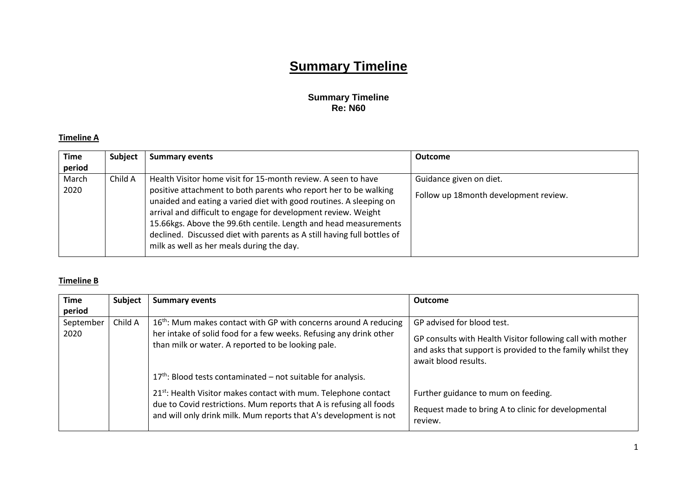# **Summary Timeline**

### **Summary Timeline Re: N60**

### **Timeline A**

| <b>Time</b><br>period | <b>Subject</b> | <b>Summary events</b>                                                                                                                                                                                                                                                                                                                                                                                                                                                 | <b>Outcome</b>                                                   |
|-----------------------|----------------|-----------------------------------------------------------------------------------------------------------------------------------------------------------------------------------------------------------------------------------------------------------------------------------------------------------------------------------------------------------------------------------------------------------------------------------------------------------------------|------------------------------------------------------------------|
| March<br>2020         | Child A        | Health Visitor home visit for 15-month review. A seen to have<br>positive attachment to both parents who report her to be walking<br>unaided and eating a varied diet with good routines. A sleeping on<br>arrival and difficult to engage for development review. Weight<br>15.66kgs. Above the 99.6th centile. Length and head measurements<br>declined. Discussed diet with parents as A still having full bottles of<br>milk as well as her meals during the day. | Guidance given on diet.<br>Follow up 18month development review. |

## **Timeline B**

| <b>Time</b> | Subject | <b>Summary events</b>                                                                                                                                                                                                   | <b>Outcome</b>                                                                                                                                    |
|-------------|---------|-------------------------------------------------------------------------------------------------------------------------------------------------------------------------------------------------------------------------|---------------------------------------------------------------------------------------------------------------------------------------------------|
| period      |         |                                                                                                                                                                                                                         |                                                                                                                                                   |
| September   | Child A | $16th$ : Mum makes contact with GP with concerns around A reducing                                                                                                                                                      | GP advised for blood test.                                                                                                                        |
| 2020        |         | her intake of solid food for a few weeks. Refusing any drink other<br>than milk or water. A reported to be looking pale.                                                                                                | GP consults with Health Visitor following call with mother<br>and asks that support is provided to the family whilst they<br>await blood results. |
|             |         | $17th$ : Blood tests contaminated – not suitable for analysis.                                                                                                                                                          |                                                                                                                                                   |
|             |         | 21 <sup>st</sup> : Health Visitor makes contact with mum. Telephone contact<br>due to Covid restrictions. Mum reports that A is refusing all foods<br>and will only drink milk. Mum reports that A's development is not | Further guidance to mum on feeding.<br>Request made to bring A to clinic for developmental<br>review.                                             |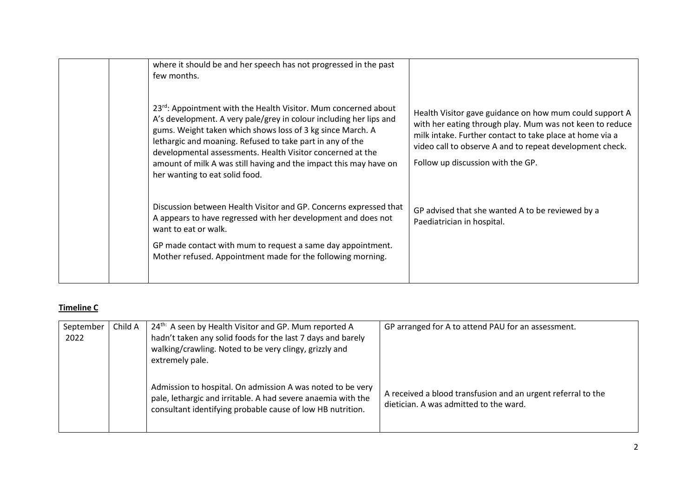| where it should be and her speech has not progressed in the past<br>few months.                                                                                                                                                                                                                                                                                                                                                      |                                                                                                                                                                                                                                                                                  |
|--------------------------------------------------------------------------------------------------------------------------------------------------------------------------------------------------------------------------------------------------------------------------------------------------------------------------------------------------------------------------------------------------------------------------------------|----------------------------------------------------------------------------------------------------------------------------------------------------------------------------------------------------------------------------------------------------------------------------------|
| 23rd: Appointment with the Health Visitor. Mum concerned about<br>A's development. A very pale/grey in colour including her lips and<br>gums. Weight taken which shows loss of 3 kg since March. A<br>lethargic and moaning. Refused to take part in any of the<br>developmental assessments. Health Visitor concerned at the<br>amount of milk A was still having and the impact this may have on<br>her wanting to eat solid food. | Health Visitor gave guidance on how mum could support A<br>with her eating through play. Mum was not keen to reduce<br>milk intake. Further contact to take place at home via a<br>video call to observe A and to repeat development check.<br>Follow up discussion with the GP. |
| Discussion between Health Visitor and GP. Concerns expressed that<br>A appears to have regressed with her development and does not<br>want to eat or walk.<br>GP made contact with mum to request a same day appointment.<br>Mother refused. Appointment made for the following morning.                                                                                                                                             | GP advised that she wanted A to be reviewed by a<br>Paediatrician in hospital.                                                                                                                                                                                                   |
|                                                                                                                                                                                                                                                                                                                                                                                                                                      |                                                                                                                                                                                                                                                                                  |

## **Timeline C**

| September<br>2022 | Child A | 24 <sup>th:</sup> A seen by Health Visitor and GP. Mum reported A<br>hadn't taken any solid foods for the last 7 days and barely<br>walking/crawling. Noted to be very clingy, grizzly and<br>extremely pale. | GP arranged for A to attend PAU for an assessment.                                                     |
|-------------------|---------|---------------------------------------------------------------------------------------------------------------------------------------------------------------------------------------------------------------|--------------------------------------------------------------------------------------------------------|
|                   |         | Admission to hospital. On admission A was noted to be very<br>pale, lethargic and irritable. A had severe anaemia with the<br>consultant identifying probable cause of low HB nutrition.                      | A received a blood transfusion and an urgent referral to the<br>dietician. A was admitted to the ward. |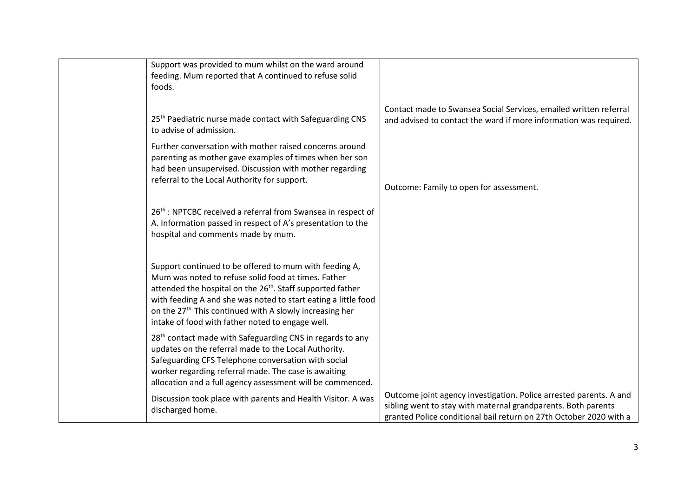| Support was provided to mum whilst on the ward around                    |                                                                    |
|--------------------------------------------------------------------------|--------------------------------------------------------------------|
| feeding. Mum reported that A continued to refuse solid                   |                                                                    |
| foods.                                                                   |                                                                    |
|                                                                          |                                                                    |
|                                                                          | Contact made to Swansea Social Services, emailed written referral  |
| 25 <sup>th</sup> Paediatric nurse made contact with Safeguarding CNS     | and advised to contact the ward if more information was required.  |
| to advise of admission.                                                  |                                                                    |
| Further conversation with mother raised concerns around                  |                                                                    |
| parenting as mother gave examples of times when her son                  |                                                                    |
| had been unsupervised. Discussion with mother regarding                  |                                                                    |
| referral to the Local Authority for support.                             |                                                                    |
|                                                                          | Outcome: Family to open for assessment.                            |
|                                                                          |                                                                    |
| 26 <sup>th</sup> : NPTCBC received a referral from Swansea in respect of |                                                                    |
| A. Information passed in respect of A's presentation to the              |                                                                    |
| hospital and comments made by mum.                                       |                                                                    |
|                                                                          |                                                                    |
|                                                                          |                                                                    |
| Support continued to be offered to mum with feeding A,                   |                                                                    |
| Mum was noted to refuse solid food at times. Father                      |                                                                    |
| attended the hospital on the 26 <sup>th</sup> . Staff supported father   |                                                                    |
| with feeding A and she was noted to start eating a little food           |                                                                    |
| on the 27 <sup>th</sup> This continued with A slowly increasing her      |                                                                    |
| intake of food with father noted to engage well.                         |                                                                    |
|                                                                          |                                                                    |
| 28 <sup>th</sup> contact made with Safeguarding CNS in regards to any    |                                                                    |
| updates on the referral made to the Local Authority.                     |                                                                    |
| Safeguarding CFS Telephone conversation with social                      |                                                                    |
| worker regarding referral made. The case is awaiting                     |                                                                    |
| allocation and a full agency assessment will be commenced.               |                                                                    |
| Discussion took place with parents and Health Visitor. A was             | Outcome joint agency investigation. Police arrested parents. A and |
| discharged home.                                                         | sibling went to stay with maternal grandparents. Both parents      |
|                                                                          | granted Police conditional bail return on 27th October 2020 with a |